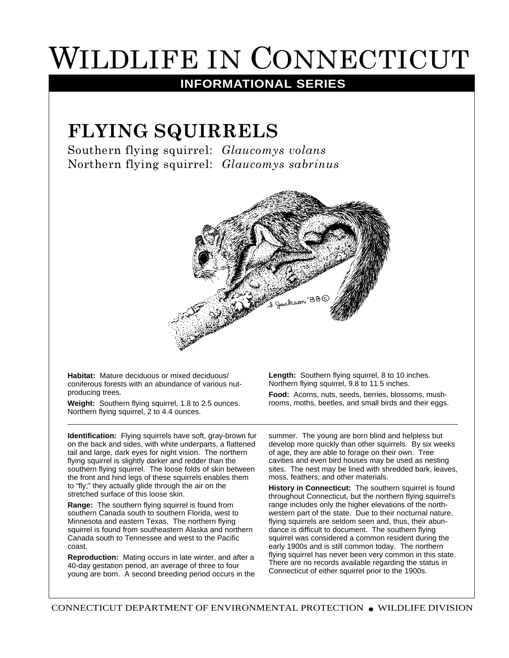## WILDLIFE IN CONNECTICUT

## **INFORMATIONAL SERIES**

## **FLYING SQUIRRELS**

Southern flying squirrel: *Glaucomys volans* Northern flying squirrel: *Glaucomys sabrinus*



**Habitat:** Mature deciduous or mixed deciduous/ coniferous forests with an abundance of various nutproducing trees.

**Weight:** Southern flying squirrel, 1.8 to 2.5 ounces. Northern flying squirrel, 2 to 4.4 ounces.

**Identification:** Flying squirrels have soft, gray-brown fur on the back and sides, with white underparts, a flattened tail and large, dark eyes for night vision. The northern flying squirrel is slightly darker and redder than the southern flying squirrel. The loose folds of skin between the front and hind legs of these squirrels enables them to "fly;" they actually glide through the air on the stretched surface of this loose skin.

**Range:** The southern flying squirrel is found from southern Canada south to southern Florida, west to Minnesota and eastern Texas. The northern flying squirrel is found from southeastern Alaska and northern Canada south to Tennessee and west to the Pacific coast.

**Reproduction:** Mating occurs in late winter, and after a 40-day gestation period, an average of three to four young are born. A second breeding period occurs in the **Length:** Southern flying squirrel, 8 to 10 inches. Northern flying squirrel, 9.8 to 11.5 inches.

**Food:** Acorns, nuts, seeds, berries, blossoms, mushrooms, moths, beetles, and small birds and their eggs.

summer. The young are born blind and helpless but develop more quickly than other squirrels. By six weeks of age, they are able to forage on their own. Tree cavities and even bird houses may be used as nesting sites. The nest may be lined with shredded bark, leaves, moss, feathers, and other materials.

**History in Connecticut:** The southern squirrel is found throughout Connecticut, but the northern flying squirrel's range includes only the higher elevations of the northwestern part of the state. Due to their nocturnal nature, flying squirrels are seldom seen and, thus, their abundance is difficult to document. The southern flying squirrel was considered a common resident during the early 1900s and is still common today. The northern flying squirrel has never been very common in this state. There are no records available regarding the status in Connecticut of either squirrel prior to the 1900s.